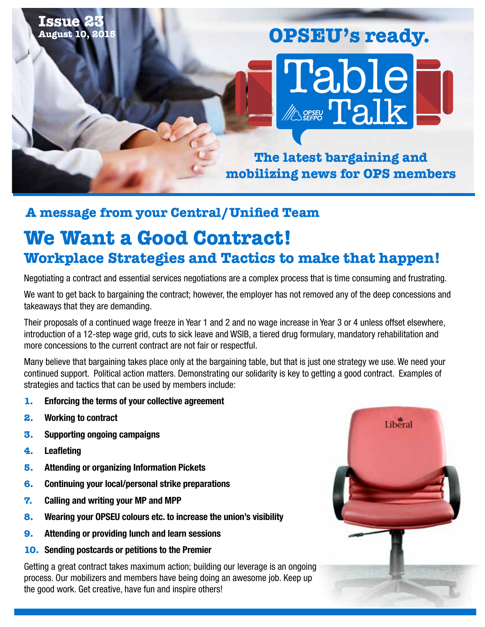#### **Issue 23 August 10, 2015**

# Table **MOSEER Talk OPSEU's ready.**

**The latest bargaining and mobilizing news for OPS members** 

## **A message from your Central/Unified Team**

# **We Want a Good Contract! Workplace Strategies and Tactics to make that happen!**

Negotiating a contract and essential services negotiations are a complex process that is time consuming and frustrating.

We want to get back to bargaining the contract; however, the employer has not removed any of the deep concessions and takeaways that they are demanding.

Their proposals of a continued wage freeze in Year 1 and 2 and no wage increase in Year 3 or 4 unless offset elsewhere, introduction of a 12-step wage grid, cuts to sick leave and WSIB, a tiered drug formulary, mandatory rehabilitation and more concessions to the current contract are not fair or respectful.

Many believe that bargaining takes place only at the bargaining table, but that is just one strategy we use. We need your continued support. Political action matters. Demonstrating our solidarity is key to getting a good contract. Examples of strategies and tactics that can be used by members include:

- **1.** Enforcing the terms of your collective agreement
- **2.** Working to contract
- **3.** Supporting ongoing campaigns
- **4.** Leafleting
- **5.** Attending or organizing Information Pickets
- **6.** Continuing your local/personal strike preparations
- **7.** Calling and writing your MP and MPP
- **8.** Wearing your OPSEU colours etc. to increase the union's visibility
- **9.** Attending or providing lunch and learn sessions
- **10.** Sending postcards or petitions to the Premier

Getting a great contract takes maximum action; building our leverage is an ongoing process. Our mobilizers and members have being doing an awesome job. Keep up the good work. Get creative, have fun and inspire others!